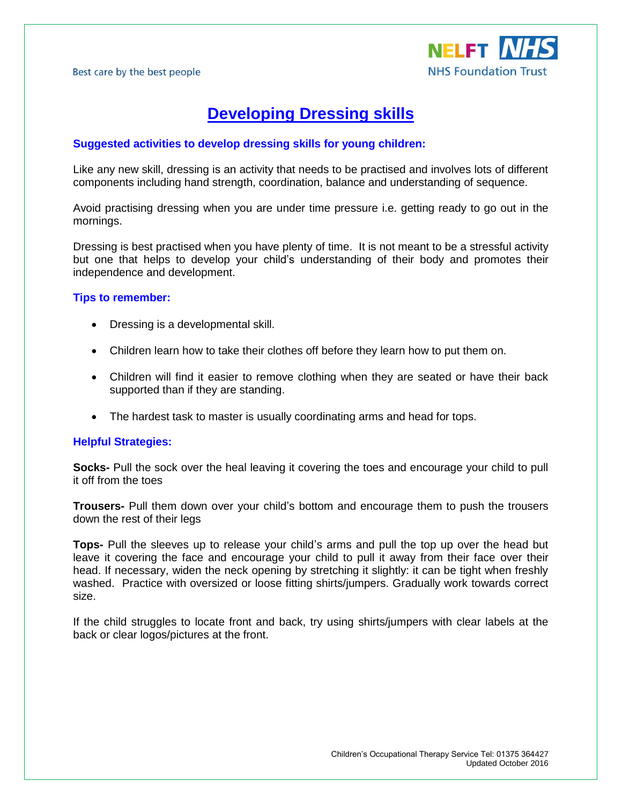

# **Developing Dressing skills**

### **Suggested activities to develop dressing skills for young children:**

Like any new skill, dressing is an activity that needs to be practised and involves lots of different components including hand strength, coordination, balance and understanding of sequence.

Avoid practising dressing when you are under time pressure i.e. getting ready to go out in the mornings.

Dressing is best practised when you have plenty of time. It is not meant to be a stressful activity but one that helps to develop your child's understanding of their body and promotes their independence and development.

#### **Tips to remember:**

- Dressing is a developmental skill.
- Children learn how to take their clothes off before they learn how to put them on.
- Children will find it easier to remove clothing when they are seated or have their back supported than if they are standing.
- The hardest task to master is usually coordinating arms and head for tops.

#### **Helpful Strategies:**

**Socks-** Pull the sock over the heal leaving it covering the toes and encourage your child to pull it off from the toes

**Trousers-** Pull them down over your child's bottom and encourage them to push the trousers down the rest of their legs

**Tops-** Pull the sleeves up to release your child's arms and pull the top up over the head but leave it covering the face and encourage your child to pull it away from their face over their head. If necessary, widen the neck opening by stretching it slightly: it can be tight when freshly washed. Practice with oversized or loose fitting shirts/jumpers. Gradually work towards correct size.

If the child struggles to locate front and back, try using shirts/jumpers with clear labels at the back or clear logos/pictures at the front.